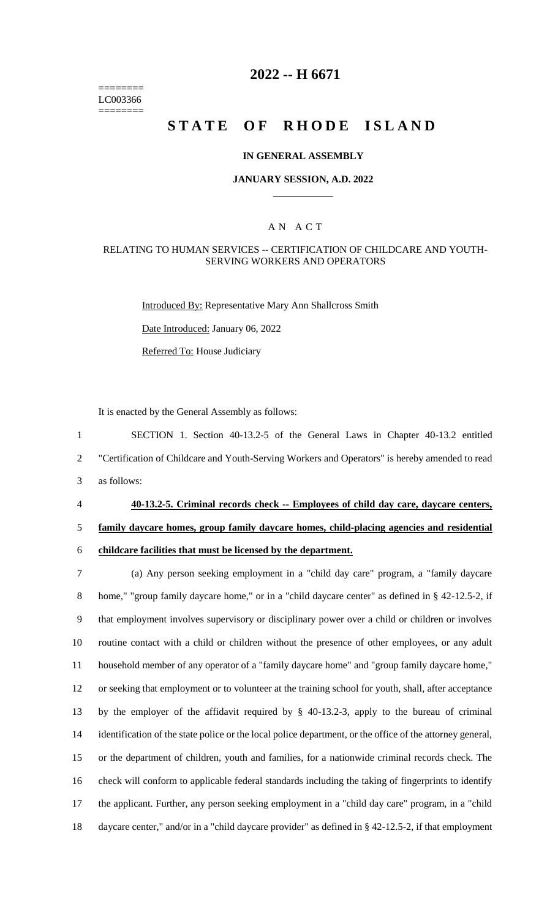======== LC003366 ========

# **2022 -- H 6671**

# **STATE OF RHODE ISLAND**

#### **IN GENERAL ASSEMBLY**

#### **JANUARY SESSION, A.D. 2022 \_\_\_\_\_\_\_\_\_\_\_\_**

### A N A C T

#### RELATING TO HUMAN SERVICES -- CERTIFICATION OF CHILDCARE AND YOUTH-SERVING WORKERS AND OPERATORS

Introduced By: Representative Mary Ann Shallcross Smith

Date Introduced: January 06, 2022

Referred To: House Judiciary

It is enacted by the General Assembly as follows:

1 SECTION 1. Section 40-13.2-5 of the General Laws in Chapter 40-13.2 entitled 2 "Certification of Childcare and Youth-Serving Workers and Operators" is hereby amended to read 3 as follows:

# 4 **40-13.2-5. Criminal records check -- Employees of child day care, daycare centers,**

## 5 **family daycare homes, group family daycare homes, child-placing agencies and residential**

6 **childcare facilities that must be licensed by the department.**

 (a) Any person seeking employment in a "child day care" program, a "family daycare 8 home," "group family daycare home," or in a "child daycare center" as defined in § 42-12.5-2, if that employment involves supervisory or disciplinary power over a child or children or involves routine contact with a child or children without the presence of other employees, or any adult household member of any operator of a "family daycare home" and "group family daycare home," or seeking that employment or to volunteer at the training school for youth, shall, after acceptance by the employer of the affidavit required by § 40-13.2-3, apply to the bureau of criminal identification of the state police or the local police department, or the office of the attorney general, or the department of children, youth and families, for a nationwide criminal records check. The check will conform to applicable federal standards including the taking of fingerprints to identify the applicant. Further, any person seeking employment in a "child day care" program, in a "child daycare center," and/or in a "child daycare provider" as defined in § 42-12.5-2, if that employment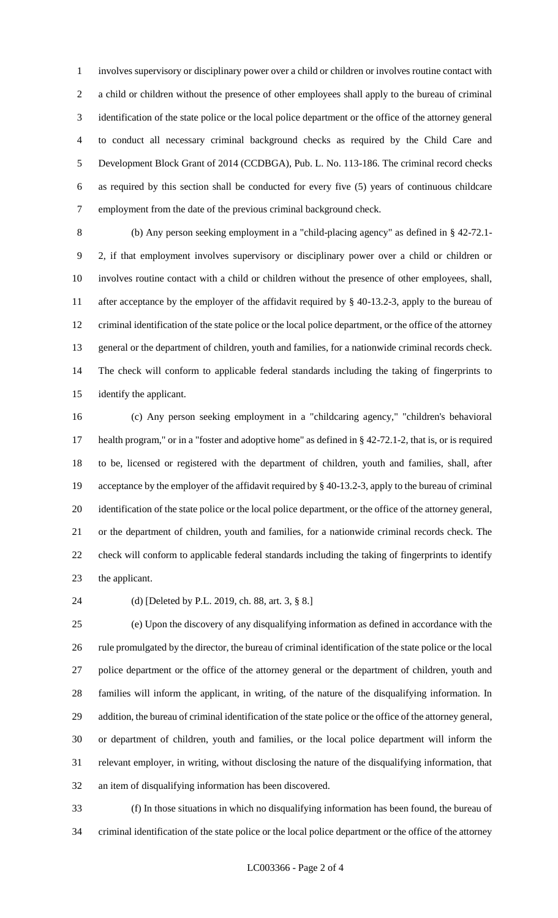involves supervisory or disciplinary power over a child or children or involves routine contact with a child or children without the presence of other employees shall apply to the bureau of criminal identification of the state police or the local police department or the office of the attorney general to conduct all necessary criminal background checks as required by the Child Care and Development Block Grant of 2014 (CCDBGA), Pub. L. No. 113-186. The criminal record checks as required by this section shall be conducted for every five (5) years of continuous childcare employment from the date of the previous criminal background check.

 (b) Any person seeking employment in a "child-placing agency" as defined in § 42-72.1- 2, if that employment involves supervisory or disciplinary power over a child or children or involves routine contact with a child or children without the presence of other employees, shall, after acceptance by the employer of the affidavit required by § 40-13.2-3, apply to the bureau of criminal identification of the state police or the local police department, or the office of the attorney general or the department of children, youth and families, for a nationwide criminal records check. The check will conform to applicable federal standards including the taking of fingerprints to identify the applicant.

 (c) Any person seeking employment in a "childcaring agency," "children's behavioral health program," or in a "foster and adoptive home" as defined in § 42-72.1-2, that is, or is required to be, licensed or registered with the department of children, youth and families, shall, after acceptance by the employer of the affidavit required by § 40-13.2-3, apply to the bureau of criminal identification of the state police or the local police department, or the office of the attorney general, or the department of children, youth and families, for a nationwide criminal records check. The check will conform to applicable federal standards including the taking of fingerprints to identify the applicant.

#### (d) [Deleted by P.L. 2019, ch. 88, art. 3, § 8.]

 (e) Upon the discovery of any disqualifying information as defined in accordance with the rule promulgated by the director, the bureau of criminal identification of the state police or the local police department or the office of the attorney general or the department of children, youth and families will inform the applicant, in writing, of the nature of the disqualifying information. In addition, the bureau of criminal identification of the state police or the office of the attorney general, or department of children, youth and families, or the local police department will inform the relevant employer, in writing, without disclosing the nature of the disqualifying information, that an item of disqualifying information has been discovered.

 (f) In those situations in which no disqualifying information has been found, the bureau of criminal identification of the state police or the local police department or the office of the attorney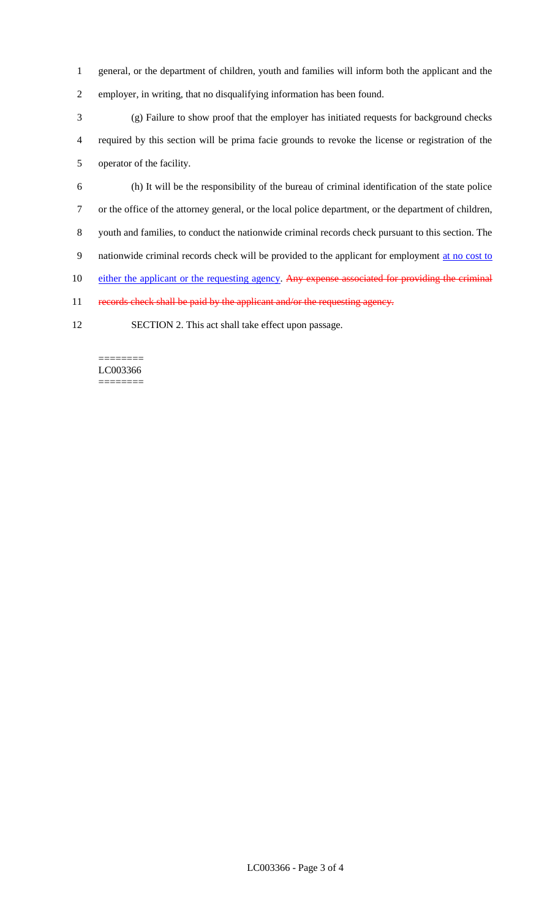- 1 general, or the department of children, youth and families will inform both the applicant and the 2 employer, in writing, that no disqualifying information has been found.
- 
- 3 (g) Failure to show proof that the employer has initiated requests for background checks 4 required by this section will be prima facie grounds to revoke the license or registration of the 5 operator of the facility.
- 6 (h) It will be the responsibility of the bureau of criminal identification of the state police 7 or the office of the attorney general, or the local police department, or the department of children, 8 youth and families, to conduct the nationwide criminal records check pursuant to this section. The 9 nationwide criminal records check will be provided to the applicant for employment at no cost to 10 either the applicant or the requesting agency. Any expense associated for providing the criminal 11 records check shall be paid by the applicant and/or the requesting agency.
- 12 SECTION 2. This act shall take effect upon passage.

======== LC003366 ========